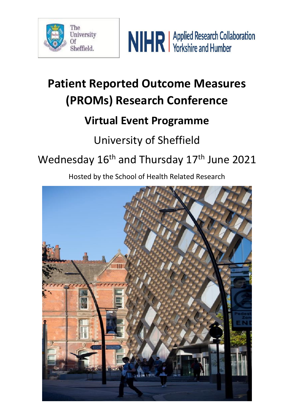



# **Patient Reported Outcome Measures (PROMs) Research Conference**

## **Virtual Event Programme**

### University of Sheffield

## Wednesday 16<sup>th</sup> and Thursday 17<sup>th</sup> June 2021

Hosted by the School of Health Related Research